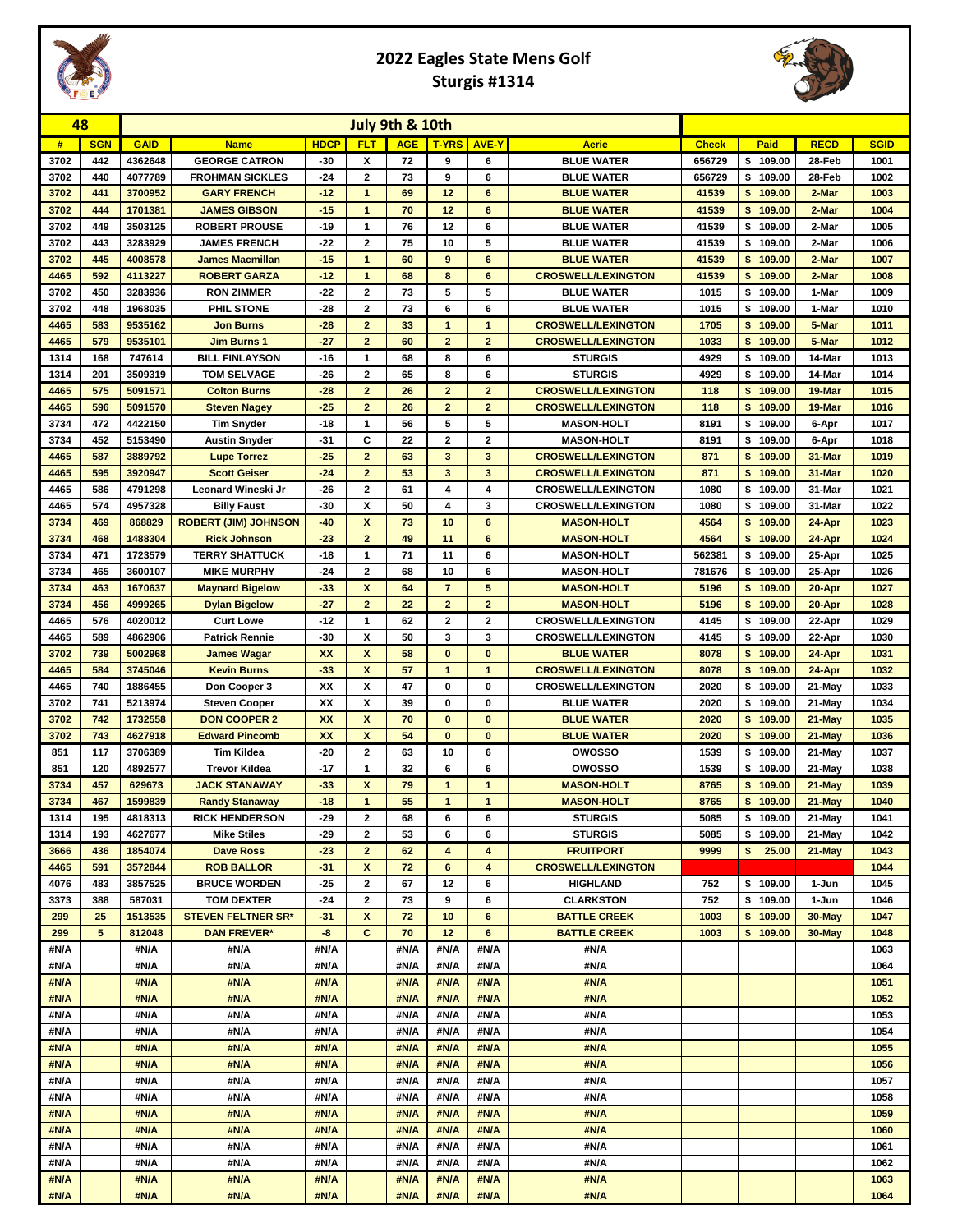

## **2022 Eagles State Mens Golf Sturgis #1314**



| 48           |            | July 9th & 10th   |                                             |                |                                               |              |                                |                                |                                  |              |                      |                  |              |
|--------------|------------|-------------------|---------------------------------------------|----------------|-----------------------------------------------|--------------|--------------------------------|--------------------------------|----------------------------------|--------------|----------------------|------------------|--------------|
| #            | <b>SGN</b> | <b>GAID</b>       | <b>Name</b>                                 | <b>HDCP</b>    | <b>FLT</b>                                    | <b>AGE</b>   | <b>T-YRS</b>                   | <b>AVE-Y</b>                   | <b>Aerie</b>                     | <b>Check</b> | Paid                 | <b>RECD</b>      | <b>SGID</b>  |
| 3702         | 442        | 4362648           | <b>GEORGE CATRON</b>                        | $-30$          | X                                             | 72           | 9                              | 6                              | <b>BLUE WATER</b>                | 656729       | \$109.00             | 28-Feb           | 1001         |
| 3702         | 440        | 4077789           | <b>FROHMAN SICKLES</b>                      | $-24$          | $\overline{\mathbf{2}}$                       | 73           | 9                              | 6                              | <b>BLUE WATER</b>                | 656729       | \$109.00             | 28-Feb           | 1002         |
| 3702         | 441        | 3700952           | <b>GARY FRENCH</b>                          | $-12$          | $\mathbf{1}$                                  | 69           | 12                             | 6                              | <b>BLUE WATER</b>                | 41539        | \$109.00             | 2-Mar            | 1003         |
| 3702         | 444        | 1701381           | <b>JAMES GIBSON</b>                         | $-15$          | $\mathbf{1}$                                  | 70           | 12                             | 6                              | <b>BLUE WATER</b>                | 41539        | \$109.00             | 2-Mar            | 1004         |
| 3702         | 449        | 3503125           | <b>ROBERT PROUSE</b>                        | $-19$          | $\mathbf{1}$                                  | 76           | 12                             | 6                              | <b>BLUE WATER</b>                | 41539        | \$109.00             | 2-Mar            | 1005         |
| 3702         | 443        | 3283929           | <b>JAMES FRENCH</b>                         | $-22$          | 2                                             | 75           | 10                             | 5                              | <b>BLUE WATER</b>                | 41539        | \$109.00             | 2-Mar            | 1006         |
| 3702         | 445        | 4008578           | <b>James Macmillan</b>                      | $-15$          | $\mathbf{1}$                                  | 60           | 9                              | 6                              | <b>BLUE WATER</b>                | 41539        | \$109.00             | 2-Mar            | 1007         |
| 4465         | 592        | 4113227           | <b>ROBERT GARZA</b>                         | $-12$          | 1                                             | 68           | 8                              | 6                              | <b>CROSWELL/LEXINGTON</b>        | 41539        | 109.00<br>\$         | 2-Mar            | 1008         |
| 3702         | 450        | 3283936           | <b>RON ZIMMER</b>                           | $-22$          | $\overline{\mathbf{2}}$                       | 73           | 5                              | 5                              | <b>BLUE WATER</b>                | 1015         | \$109.00             | 1-Mar            | 1009         |
| 3702         | 448        | 1968035           | PHIL STONE                                  | $-28$          | $\overline{\mathbf{2}}$                       | 73           | 6                              | 6                              | <b>BLUE WATER</b>                | 1015         | \$<br>109.00         | 1-Mar            | 1010         |
| 4465         | 583        | 9535162           | <b>Jon Burns</b>                            | $-28$<br>$-27$ | $\overline{2}$<br>$\overline{2}$              | 33           | $\mathbf{1}$<br>$\overline{a}$ | $\mathbf{1}$<br>$\overline{2}$ | <b>CROSWELL/LEXINGTON</b>        | 1705         | \$109.00             | 5-Mar            | 1011         |
| 4465         | 579<br>168 | 9535101<br>747614 | <b>Jim Burns 1</b>                          |                | 1                                             | 60           |                                | 6                              | <b>CROSWELL/LEXINGTON</b>        | 1033         | \$<br>109.00         | 5-Mar<br>14-Mar  | 1012         |
| 1314<br>1314 | 201        | 3509319           | <b>BILL FINLAYSON</b><br><b>TOM SELVAGE</b> | $-16$<br>$-26$ | $\overline{\mathbf{2}}$                       | 68<br>65     | 8<br>8                         | 6                              | <b>STURGIS</b><br><b>STURGIS</b> | 4929<br>4929 | \$109.00<br>\$109.00 | 14-Mar           | 1013<br>1014 |
| 4465         | 575        | 5091571           | <b>Colton Burns</b>                         | $-28$          | $\overline{2}$                                | 26           | $\mathbf{2}$                   | $\mathbf{2}$                   | <b>CROSWELL/LEXINGTON</b>        | 118          | \$109.00             | 19-Mar           | 1015         |
| 4465         | 596        | 5091570           | <b>Steven Nagey</b>                         | $-25$          | $\overline{2}$                                | 26           | $\overline{2}$                 | $\overline{2}$                 | <b>CROSWELL/LEXINGTON</b>        | 118          | \$109.00             | 19-Mar           | 1016         |
| 3734         | 472        | 4422150           | <b>Tim Snyder</b>                           | $-18$          | $\mathbf{1}$                                  | 56           | 5                              | 5                              | <b>MASON-HOLT</b>                | 8191         | \$109.00             | 6-Apr            | 1017         |
| 3734         | 452        | 5153490           | <b>Austin Snyder</b>                        | $-31$          | C                                             | 22           | 2                              | $\mathbf{2}$                   | <b>MASON-HOLT</b>                | 8191         | \$109.00             | 6-Apr            | 1018         |
| 4465         | 587        | 3889792           | <b>Lupe Torrez</b>                          | $-25$          | $\overline{2}$                                | 63           | 3                              | $\mathbf{3}$                   | <b>CROSWELL/LEXINGTON</b>        | 871          | \$109.00             | 31-Mar           | 1019         |
| 4465         | 595        | 3920947           | <b>Scott Geiser</b>                         | $-24$          | $\overline{2}$                                | 53           | 3                              | 3                              | <b>CROSWELL/LEXINGTON</b>        | 871          | 109.00<br>\$         | 31-Mar           | 1020         |
| 4465         | 586        | 4791298           | Leonard Wineski Jr                          | $-26$          | 2                                             | 61           | 4                              | 4                              | <b>CROSWELL/LEXINGTON</b>        | 1080         | \$109.00             | 31-Mar           | 1021         |
| 4465         | 574        | 4957328           | <b>Billy Faust</b>                          | $-30$          | X                                             | 50           | 4                              | 3                              | <b>CROSWELL/LEXINGTON</b>        | 1080         | \$109.00             | 31-Mar           | 1022         |
| 3734         | 469        | 868829            | <b>ROBERT (JIM) JOHNSON</b>                 | $-40$          | $\boldsymbol{x}$                              | 73           | 10                             | 6                              | <b>MASON-HOLT</b>                | 4564         | \$109.00             | 24-Apr           | 1023         |
| 3734         | 468        | 1488304           | <b>Rick Johnson</b>                         | $-23$          | $\overline{2}$                                | 49           | 11                             | $6\phantom{1}$                 | <b>MASON-HOLT</b>                | 4564         | \$109.00             | 24-Apr           | 1024         |
| 3734         | 471        | 1723579           | <b>TERRY SHATTUCK</b>                       | $-18$          | 1                                             | 71           | 11                             | 6                              | <b>MASON-HOLT</b>                | 562381       | \$109.00             | 25-Apr           | 1025         |
| 3734         | 465        | 3600107           | <b>MIKE MURPHY</b>                          | $-24$          | $\overline{2}$                                | 68           | 10                             | 6                              | <b>MASON-HOLT</b>                | 781676       | \$109.00             | 25-Apr           | 1026         |
| 3734         | 463        | 1670637           | <b>Maynard Bigelow</b>                      | $-33$          | X                                             | 64           | $\overline{7}$                 | 5                              | <b>MASON-HOLT</b>                | 5196         | \$109.00             | 20-Apr           | 1027         |
| 3734         | 456        | 4999265           | <b>Dylan Bigelow</b>                        | $-27$          | $\overline{2}$                                | 22           | $\overline{2}$                 | $\overline{2}$                 | <b>MASON-HOLT</b>                | 5196         | \$109.00             | 20-Apr           | 1028         |
| 4465         | 576        | 4020012           | <b>Curt Lowe</b>                            | $-12$          | 1                                             | 62           | $\mathbf{2}$                   | $\mathbf{2}$                   | <b>CROSWELL/LEXINGTON</b>        | 4145         | \$109.00             | 22-Apr           | 1029         |
| 4465         | 589        | 4862906           | <b>Patrick Rennie</b>                       | $-30$          | x                                             | 50           | 3                              | 3                              | <b>CROSWELL/LEXINGTON</b>        | 4145         | \$109.00             | 22-Apr           | 1030         |
| 3702         | 739        | 5002968           | <b>James Wagar</b>                          | <b>XX</b>      | $\boldsymbol{x}$                              | 58           | $\bf{0}$                       | $\bf{0}$                       | <b>BLUE WATER</b>                | 8078         | \$109.00             | 24-Apr           | 1031         |
| 4465         | 584        | 3745046           | <b>Kevin Burns</b>                          | $-33$          | $\boldsymbol{\mathsf{x}}$                     | 57           | $\mathbf{1}$                   | $\mathbf{1}$                   | <b>CROSWELL/LEXINGTON</b>        | 8078         | \$109.00             | 24-Apr           | 1032         |
| 4465         | 740        | 1886455           | Don Cooper 3                                | XX             | X                                             | 47           | $\bf{0}$                       | $\bf{0}$                       | <b>CROSWELL/LEXINGTON</b>        | 2020         | \$109.00             | 21-May           | 1033         |
| 3702         | 741        | 5213974           | <b>Steven Cooper</b>                        | XX             | X                                             | 39           | 0                              | $\bf{0}$                       | <b>BLUE WATER</b>                | 2020         | \$109.00             | 21-May           | 1034         |
| 3702         | 742        | 1732558           | <b>DON COOPER 2</b>                         | <b>XX</b>      | $\boldsymbol{x}$<br>$\boldsymbol{\mathsf{x}}$ | 70           | $\bf{0}$                       | $\bf{0}$                       | <b>BLUE WATER</b>                | 2020         | \$109.00             | 21-May           | 1035         |
| 3702         | 743        | 4627918           | <b>Edward Pincomb</b>                       | <b>XX</b>      |                                               | 54           | $\bf{0}$                       | $\bf{0}$                       | <b>BLUE WATER</b>                | 2020         | \$109.00             | 21-May           | 1036         |
| 851<br>851   | 117<br>120 | 3706389           | <b>Tim Kildea</b><br><b>Trevor Kildea</b>   | $-20$<br>$-17$ | 2<br>1                                        | 63<br>32     | 10<br>6                        | 6<br>6                         | owosso<br>owosso                 | 1539<br>1539 | \$109.00<br>\$109.00 | 21-May           | 1037<br>1038 |
| 3734         | 457        | 4892577<br>629673 | <b>JACK STANAWAY</b>                        | $-33$          | X                                             | 79           | $\mathbf{1}$                   | $\mathbf{1}$                   | <b>MASON-HOLT</b>                | 8765         | \$109.00             | 21-May<br>21-May | 1039         |
| 3734         | 467        | 1599839           | <b>Randy Stanaway</b>                       | $-18$          | $\mathbf{1}$                                  | 55           | $\mathbf{1}$                   | $\mathbf{1}$                   | <b>MASON-HOLT</b>                | 8765         | \$109.00             | 21-May           | 1040         |
| 1314         | 195        | 4818313           | <b>RICK HENDERSON</b>                       | $-29$          | 2                                             | 68           | 6                              | 6                              | <b>STURGIS</b>                   | 5085         | \$109.00             | 21-May           | 1041         |
| 1314         | 193        | 4627677           | <b>Mike Stiles</b>                          | $-29$          | 2                                             | 53           | 6                              | 6                              | <b>STURGIS</b>                   | 5085         | \$109.00             | 21-May           | 1042         |
| 3666         | 436        | 1854074           | <b>Dave Ross</b>                            | $-23$          | $\mathbf{2}$                                  | 62           | 4                              | 4                              | <b>FRUITPORT</b>                 | 9999         | \$ 25.00             | 21-May           | 1043         |
| 4465         | 591        | 3572844           | <b>ROB BALLOR</b>                           | $-31$          | X                                             | 72           | 6                              | 4                              | <b>CROSWELL/LEXINGTON</b>        |              |                      |                  | 1044         |
| 4076         | 483        | 3857525           | <b>BRUCE WORDEN</b>                         | $-25$          | 2                                             | 67           | 12                             | 6                              | <b>HIGHLAND</b>                  | 752          | \$109.00             | 1-Jun            | 1045         |
| 3373         | 388        | 587031            | <b>TOM DEXTER</b>                           | $-24$          | 2                                             | 73           | 9                              | 6                              | <b>CLARKSTON</b>                 | 752          | \$109.00             | 1-Jun            | 1046         |
| 299          | 25         | 1513535           | <b>STEVEN FELTNER SR*</b>                   | $-31$          | $\boldsymbol{x}$                              | 72           | 10                             | 6                              | <b>BATTLE CREEK</b>              | 1003         | \$109.00             | 30-May           | 1047         |
| 299          | 5          | 812048            | <b>DAN FREVER*</b>                          | -8             | c                                             | 70           | 12                             | 6                              | <b>BATTLE CREEK</b>              | 1003         | \$109.00             | 30-May           | 1048         |
| #N/A         |            | #N/A              | #N/A                                        | #N/A           |                                               | #N/A         | #N/A                           | #N/A                           | #N/A                             |              |                      |                  | 1063         |
| #N/A         |            | #N/A              | #N/A                                        | #N/A           |                                               | #N/A         | #N/A                           | #N/A                           | #N/A                             |              |                      |                  | 1064         |
| #N/A         |            | #N/A              | #N/A                                        | #N/A           |                                               | #N/A         | #N/A                           | #N/A                           | #N/A                             |              |                      |                  | 1051         |
| #N/A         |            | #N/A              | #N/A                                        | #N/A           |                                               | #N/A         | #N/A                           | #N/A                           | #N/A                             |              |                      |                  | 1052         |
| #N/A         |            | #N/A              | #N/A                                        | #N/A           |                                               | #N/A         | #N/A                           | #N/A                           | #N/A                             |              |                      |                  | 1053         |
| #N/A         |            | #N/A              | #N/A                                        | #N/A           |                                               | #N/A         | #N/A                           | #N/A                           | #N/A                             |              |                      |                  | 1054         |
| #N/A         |            | #N/A              | #N/A                                        | #N/A           |                                               | #N/A         | #N/A                           | #N/A                           | #N/A                             |              |                      |                  | 1055         |
| #N/A         |            | #N/A              | #N/A                                        | #N/A           |                                               | #N/A         | #N/A                           | #N/A                           | #N/A                             |              |                      |                  | 1056         |
| #N/A         |            | #N/A              | #N/A                                        | #N/A           |                                               | #N/A         | #N/A                           | #N/A                           | #N/A                             |              |                      |                  | 1057         |
| #N/A         |            | #N/A              | #N/A                                        | #N/A           |                                               | #N/A         | #N/A                           | #N/A                           | #N/A<br>#N/A                     |              |                      |                  | 1058         |
| #N/A<br>#N/A |            | #N/A<br>#N/A      | #N/A<br>#N/A                                | #N/A<br>#N/A   |                                               | #N/A<br>#N/A | #N/A<br>#N/A                   | #N/A<br>#N/A                   | #N/A                             |              |                      |                  | 1059<br>1060 |
| #N/A         |            | #N/A              | #N/A                                        | #N/A           |                                               | #N/A         | #N/A                           | #N/A                           | #N/A                             |              |                      |                  | 1061         |
| #N/A         |            | #N/A              | #N/A                                        | #N/A           |                                               | #N/A         | #N/A                           | #N/A                           | #N/A                             |              |                      |                  | 1062         |
| #N/A         |            | #N/A              | #N/A                                        | #N/A           |                                               | #N/A         | #N/A                           | #N/A                           | #N/A                             |              |                      |                  | 1063         |
| #N/A         |            | #N/A              | #N/A                                        | #N/A           |                                               | #N/A         | #N/A                           | #N/A                           | #N/A                             |              |                      |                  | 1064         |
|              |            |                   |                                             |                |                                               |              |                                |                                |                                  |              |                      |                  |              |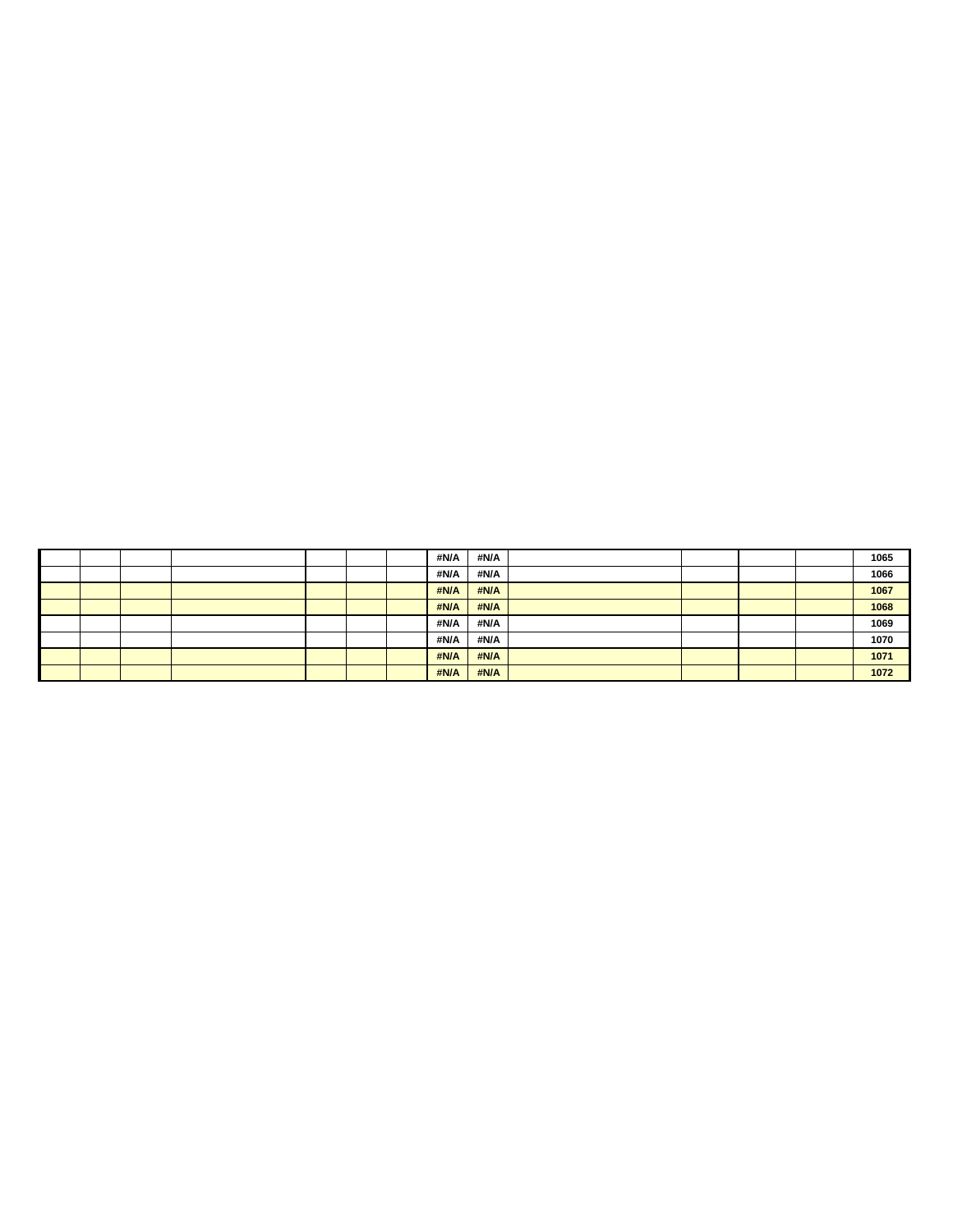|  |  |  | #N/A | #N/A |  |  | 1065 |
|--|--|--|------|------|--|--|------|
|  |  |  | #N/A | #N/A |  |  | 1066 |
|  |  |  | #N/A | #N/A |  |  | 1067 |
|  |  |  | #N/A | #N/A |  |  | 1068 |
|  |  |  | #N/A | #N/A |  |  | 1069 |
|  |  |  | #N/A | #N/A |  |  | 1070 |
|  |  |  | #N/A | #N/A |  |  | 1071 |
|  |  |  | #N/A | #N/A |  |  | 1072 |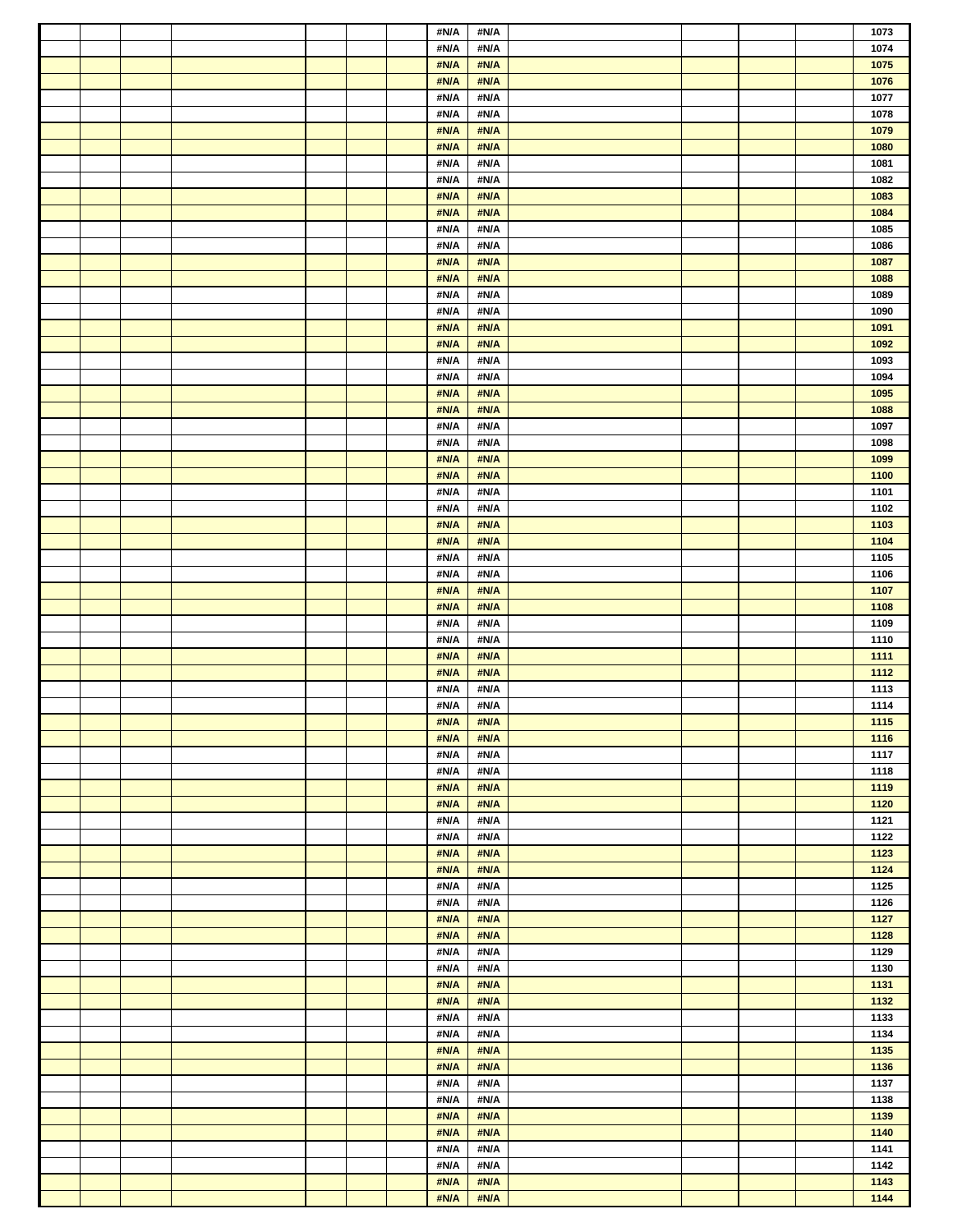|  |  |  | #N/A         | #N/A         |  |  | 1073           |
|--|--|--|--------------|--------------|--|--|----------------|
|  |  |  | #N/A         | #N/A         |  |  | 1074           |
|  |  |  | #N/A         | #N/A         |  |  | 1075           |
|  |  |  | #N/A         | #N/A         |  |  | 1076           |
|  |  |  | #N/A         | #N/A         |  |  | 1077           |
|  |  |  | #N/A         | #N/A         |  |  | 1078           |
|  |  |  | #N/A         | #N/A         |  |  | 1079           |
|  |  |  | #N/A         | #N/A         |  |  | 1080           |
|  |  |  | #N/A         | #N/A         |  |  | 1081           |
|  |  |  | #N/A         | #N/A         |  |  | 1082           |
|  |  |  | #N/A         | #N/A         |  |  | 1083           |
|  |  |  | #N/A         | #N/A         |  |  | 1084           |
|  |  |  | #N/A         | #N/A         |  |  | 1085           |
|  |  |  | #N/A         | #N/A         |  |  | 1086           |
|  |  |  | #N/A         | #N/A         |  |  | 1087           |
|  |  |  | #N/A         | #N/A         |  |  | 1088           |
|  |  |  | #N/A         | #N/A         |  |  | 1089           |
|  |  |  | #N/A         | #N/A         |  |  | 1090           |
|  |  |  | #N/A         | #N/A         |  |  | 1091           |
|  |  |  | #N/A         | #N/A         |  |  | 1092           |
|  |  |  | #N/A         | #N/A         |  |  | 1093           |
|  |  |  | #N/A         | #N/A         |  |  | 1094           |
|  |  |  | #N/A         | #N/A         |  |  | 1095           |
|  |  |  | #N/A         | #N/A         |  |  | 1088           |
|  |  |  | #N/A         | #N/A         |  |  | 1097           |
|  |  |  | #N/A         | #N/A         |  |  | 1098           |
|  |  |  | #N/A         | #N/A         |  |  | 1099           |
|  |  |  | #N/A         | #N/A         |  |  | 1100           |
|  |  |  | #N/A         | #N/A         |  |  | 1101           |
|  |  |  | #N/A         | #N/A         |  |  | 1102           |
|  |  |  | #N/A         | #N/A         |  |  | 1103           |
|  |  |  | #N/A         | #N/A         |  |  | 1104           |
|  |  |  | #N/A         | #N/A         |  |  | 1105           |
|  |  |  | #N/A         | #N/A         |  |  | 1106           |
|  |  |  | #N/A         | #N/A         |  |  | 1107           |
|  |  |  | #N/A         | #N/A         |  |  | 1108           |
|  |  |  | #N/A         | #N/A         |  |  | 1109           |
|  |  |  | #N/A         | #N/A         |  |  | 1110           |
|  |  |  | #N/A         | #N/A         |  |  | 1111           |
|  |  |  | #N/A         | #N/A         |  |  | 1112           |
|  |  |  |              | #N/A         |  |  |                |
|  |  |  |              |              |  |  |                |
|  |  |  | #N/A         |              |  |  | 1113           |
|  |  |  | #N/A         | #N/A         |  |  | 1114           |
|  |  |  | #N/A         | #N/A         |  |  | $\boxed{1115}$ |
|  |  |  | #N/A         | #N/A         |  |  | 1116           |
|  |  |  | #N/A         | #N/A         |  |  | 1117           |
|  |  |  | #N/A         | #N/A         |  |  | 1118           |
|  |  |  | #N/A         | #N/A         |  |  | 1119           |
|  |  |  | #N/A         | #N/A         |  |  | 1120           |
|  |  |  | #N/A         | #N/A         |  |  | 1121           |
|  |  |  | #N/A         | #N/A         |  |  | 1122           |
|  |  |  | #N/A         | #N/A         |  |  | 1123           |
|  |  |  | #N/A         | #N/A         |  |  | 1124           |
|  |  |  | #N/A         | #N/A         |  |  | 1125           |
|  |  |  | #N/A         | #N/A         |  |  | 1126           |
|  |  |  | #N/A         | #N/A         |  |  | 1127           |
|  |  |  | #N/A         | #N/A         |  |  | 1128           |
|  |  |  | #N/A         | #N/A         |  |  | 1129           |
|  |  |  | #N/A         | #N/A         |  |  | 1130           |
|  |  |  | #N/A         | #N/A         |  |  | 1131           |
|  |  |  | #N/A         | #N/A         |  |  | 1132           |
|  |  |  | #N/A         | #N/A         |  |  | 1133           |
|  |  |  | #N/A         | #N/A         |  |  | 1134           |
|  |  |  | #N/A         | #N/A         |  |  | 1135           |
|  |  |  | #N/A         | #N/A         |  |  | 1136           |
|  |  |  | #N/A         | #N/A         |  |  | 1137           |
|  |  |  | #N/A         | #N/A         |  |  | 1138           |
|  |  |  | #N/A         | #N/A         |  |  | 1139           |
|  |  |  | #N/A         | #N/A         |  |  | 1140           |
|  |  |  | #N/A         | #N/A         |  |  | 1141           |
|  |  |  | #N/A         | #N/A         |  |  | 1142           |
|  |  |  | #N/A<br>#N/A | #N/A<br>#N/A |  |  | 1143<br>1144   |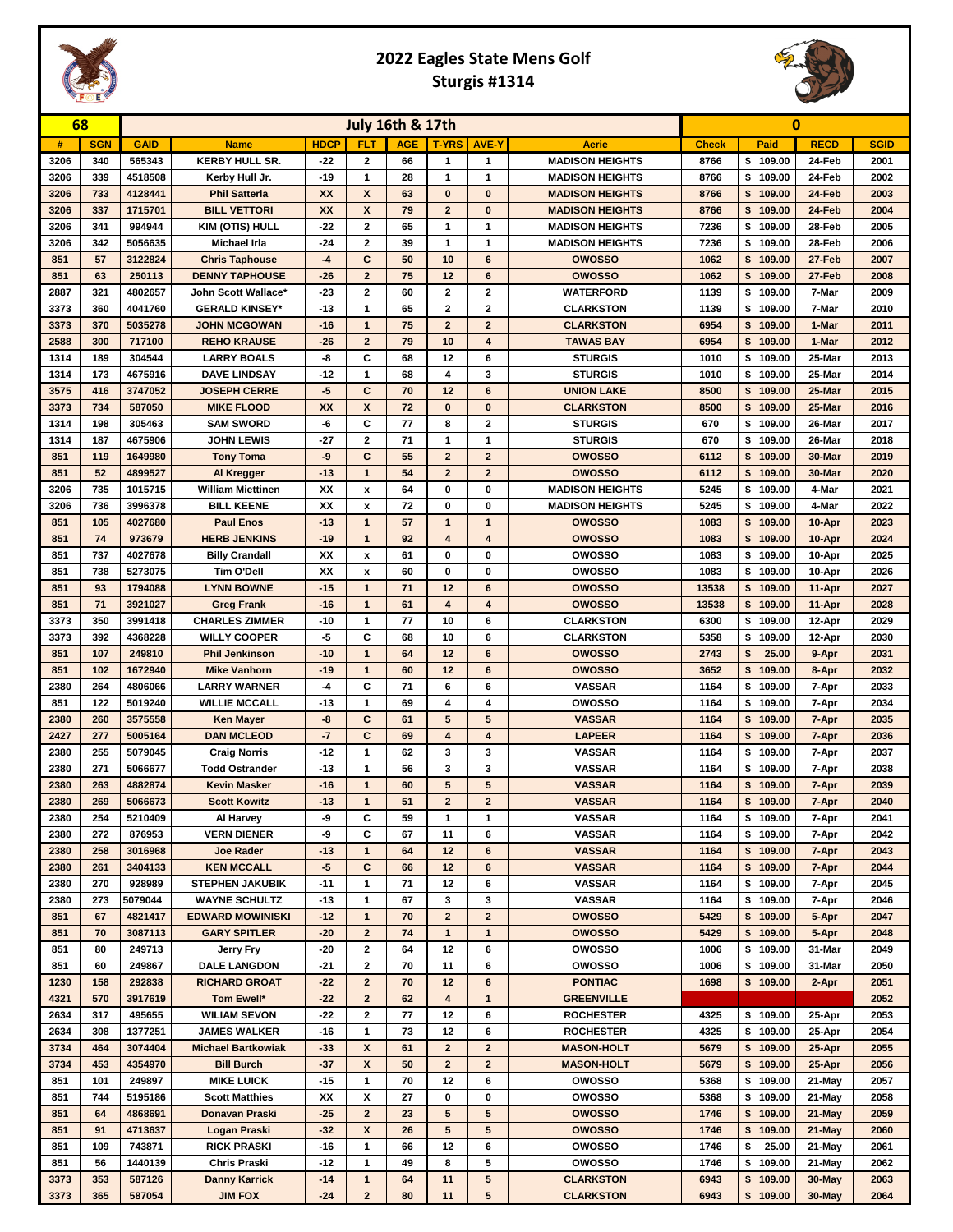## **2022 Eagles State Mens Golf Sturgis #1314**



| 68           |            | <b>July 16th &amp; 17th</b> |                                              |                |                              |            |                               |                               | 0                                    |              |                         |                |              |
|--------------|------------|-----------------------------|----------------------------------------------|----------------|------------------------------|------------|-------------------------------|-------------------------------|--------------------------------------|--------------|-------------------------|----------------|--------------|
| #            | <b>SGN</b> | <b>GAID</b>                 | <b>Name</b>                                  | <b>HDCP</b>    | <b>FLT</b>                   | <b>AGE</b> | <b>T-YRS</b>                  | <b>AVE-Y</b>                  | Aerie                                | <b>Check</b> | Paid                    | <b>RECD</b>    | <b>SGID</b>  |
| 3206         | 340        | 565343                      | <b>KERBY HULL SR.</b>                        | $-22$          | 2                            | 66         | 1                             | $\mathbf{1}$                  | <b>MADISON HEIGHTS</b>               | 8766         | \$109.00                | 24-Feb         | 2001         |
| 3206         | 339        | 4518508                     | Kerby Hull Jr.                               | $-19$          | 1                            | 28         | 1                             | 1                             | <b>MADISON HEIGHTS</b>               | 8766         | \$109.00                | 24-Feb         | 2002         |
| 3206         | 733        | 4128441                     | <b>Phil Satterla</b>                         | XX             | X                            | 63         | $\bf{0}$                      | $\bf{0}$                      | <b>MADISON HEIGHTS</b>               | 8766         | \$109.00                | 24-Feb         | 2003         |
| 3206         | 337        | 1715701                     | <b>BILL VETTORI</b>                          | XX             | X                            | 79         | $\overline{2}$                | $\bf{0}$                      | <b>MADISON HEIGHTS</b>               | 8766         | \$109.00                | 24-Feb         | 2004         |
| 3206         | 341        | 994944                      | <b>KIM (OTIS) HULL</b>                       | $-22$          | 2                            | 65         | 1                             | 1                             | <b>MADISON HEIGHTS</b>               | 7236         | \$109.00                | 28-Feb         | 2005         |
| 3206         | 342        | 5056635                     | Michael Irla                                 | $-24$          | $\mathbf{2}$                 | 39         | 1                             | 1                             | <b>MADISON HEIGHTS</b>               | 7236         | \$109.00                | 28-Feb         | 2006         |
| 851          | 57         | 3122824                     | <b>Chris Taphouse</b>                        | $-4$           | C                            | 50         | 10                            | 6                             | <b>OWOSSO</b>                        | 1062         | \$109.00                | 27-Feb         | 2007         |
| 851          | 63<br>321  | 250113                      | <b>DENNY TAPHOUSE</b>                        | $-26$          | $\overline{2}$               | 75         | 12                            | 6                             | <b>OWOSSO</b>                        | 1062         | \$109.00                | 27-Feb         | 2008         |
| 2887<br>3373 | 360        | 4802657<br>4041760          | John Scott Wallace*<br><b>GERALD KINSEY*</b> | $-23$<br>$-13$ | 2<br>1                       | 60<br>65   | $\mathbf 2$<br>$\overline{2}$ | $\mathbf 2$<br>$\overline{2}$ | <b>WATERFORD</b>                     | 1139<br>1139 | \$109.00<br>\$109.00    | 7-Mar<br>7-Mar | 2009<br>2010 |
| 3373         | 370        | 5035278                     | <b>JOHN MCGOWAN</b>                          | $-16$          | $\mathbf{1}$                 | 75         | $\overline{2}$                | $\overline{2}$                | <b>CLARKSTON</b><br><b>CLARKSTON</b> | 6954         | \$109.00                | 1-Mar          | 2011         |
| 2588         | 300        | 717100                      | <b>REHO KRAUSE</b>                           | $-26$          | $\overline{2}$               | 79         | 10                            | $\overline{\mathbf{4}}$       | <b>TAWAS BAY</b>                     | 6954         | \$109.00                | 1-Mar          | 2012         |
| 1314         | 189        | 304544                      | <b>LARRY BOALS</b>                           | -8             | С                            | 68         | 12                            | 6                             | <b>STURGIS</b>                       | 1010         | \$109.00                | 25-Mar         | 2013         |
| 1314         | 173        | 4675916                     | <b>DAVE LINDSAY</b>                          | $-12$          | 1                            | 68         | 4                             | 3                             | <b>STURGIS</b>                       | 1010         | \$109.00                | 25-Mar         | 2014         |
| 3575         | 416        | 3747052                     | <b>JOSEPH CERRE</b>                          | -5             | C                            | 70         | 12                            | 6                             | <b>UNION LAKE</b>                    | 8500         | \$109.00                | 25-Mar         | 2015         |
| 3373         | 734        | 587050                      | <b>MIKE FLOOD</b>                            | <b>XX</b>      | X                            | 72         | $\bf{0}$                      | $\bf{0}$                      | <b>CLARKSTON</b>                     | 8500         | \$109.00                | 25-Mar         | 2016         |
| 1314         | 198        | 305463                      | <b>SAM SWORD</b>                             | -6             | С                            | 77         | 8                             | $\overline{\mathbf{2}}$       | <b>STURGIS</b>                       | 670          | \$109.00                | 26-Mar         | 2017         |
| 1314         | 187        | 4675906                     | <b>JOHN LEWIS</b>                            | $-27$          | $\overline{2}$               | 71         | 1                             | 1                             | <b>STURGIS</b>                       | 670          | \$109.00                | 26-Mar         | 2018         |
| 851          | 119        | 1649980                     | <b>Tony Toma</b>                             | -9             | C                            | 55         | $\overline{2}$                | $\overline{2}$                | <b>OWOSSO</b>                        | 6112         | \$109.00                | 30-Mar         | 2019         |
| 851          | 52         | 4899527                     | Al Kregger                                   | $-13$          | $\mathbf{1}$                 | 54         | $\overline{2}$                | $\overline{2}$                | <b>OWOSSO</b>                        | 6112         | \$109.00                | 30-Mar         | 2020         |
| 3206         | 735        | 1015715                     | William Miettinen                            | XX             | x                            | 64         | 0                             | 0                             | <b>MADISON HEIGHTS</b>               | 5245         | \$109.00                | 4-Mar          | 2021         |
| 3206         | 736        | 3996378                     | <b>BILL KEENE</b>                            | XX             | X                            | 72         | 0                             | 0                             | <b>MADISON HEIGHTS</b>               | 5245         | \$109.00                | 4-Mar          | 2022         |
| 851          | 105        | 4027680                     | <b>Paul Enos</b>                             | $-13$          | 1                            | 57         | $\mathbf{1}$                  | $\mathbf{1}$                  | <b>OWOSSO</b>                        | 1083         | \$109.00                | 10-Apr         | 2023         |
| 851          | 74         | 973679                      | <b>HERB JENKINS</b>                          | $-19$          | $\mathbf{1}$                 | 92         | $\overline{\mathbf{4}}$       | $\overline{\mathbf{4}}$       | <b>OWOSSO</b>                        | 1083         | \$109.00                | 10-Apr         | 2024         |
| 851          | 737        | 4027678                     | <b>Billy Crandall</b>                        | XX             | x                            | 61         | 0                             | 0                             | owosso                               | 1083         | \$109.00                | 10-Apr         | 2025         |
| 851          | 738        | 5273075                     | Tim O'Dell                                   | XX             | X                            | 60         | 0                             | 0                             | owosso                               | 1083         | \$109.00                | 10-Apr         | 2026         |
| 851          | 93         | 1794088                     | <b>LYNN BOWNE</b>                            | $-15$          | 1                            | 71         | 12                            | 6                             | <b>OWOSSO</b>                        | 13538        | \$109.00                | 11-Apr         | 2027         |
| 851          | 71         | 3921027                     | <b>Greg Frank</b>                            | $-16$          | $\mathbf{1}$                 | 61         | 4                             | 4                             | owosso                               | 13538        | \$109.00                | 11-Apr         | 2028         |
| 3373         | 350        | 3991418                     | <b>CHARLES ZIMMER</b>                        | $-10$          | 1                            | 77         | 10                            | 6                             | <b>CLARKSTON</b>                     | 6300         | \$109.00                | 12-Apr         | 2029         |
| 3373         | 392        | 4368228                     | <b>WILLY COOPER</b>                          | -5             | С                            | 68         | 10                            | 6                             | <b>CLARKSTON</b>                     | 5358         | \$109.00                | 12-Apr         | 2030         |
| 851<br>851   | 107<br>102 | 249810<br>1672940           | <b>Phil Jenkinson</b><br><b>Mike Vanhorn</b> | $-10$<br>$-19$ | $\mathbf{1}$<br>$\mathbf{1}$ | 64<br>60   | 12<br>12                      | 6<br>6                        | <b>OWOSSO</b><br><b>OWOSSO</b>       | 2743<br>3652 | 25.00<br>\$<br>\$109.00 | 9-Apr<br>8-Apr | 2031<br>2032 |
| 2380         | 264        | 4806066                     | <b>LARRY WARNER</b>                          | $-4$           | С                            | 71         | 6                             | 6                             | <b>VASSAR</b>                        | 1164         | \$109.00                | 7-Apr          | 2033         |
| 851          | 122        | 5019240                     | <b>WILLIE MCCALL</b>                         | $-13$          | 1                            | 69         | 4                             | 4                             | owosso                               | 1164         | \$109.00                | 7-Apr          | 2034         |
| 2380         | 260        | 3575558                     | <b>Ken Mayer</b>                             | -8             | C                            | 61         | 5                             | 5                             | <b>VASSAR</b>                        | 1164         | \$109.00                | 7-Apr          | 2035         |
| 2427         | 277        | 5005164                     | <b>DAN MCLEOD</b>                            | $-7$           | C                            | 69         | $\overline{\mathbf{4}}$       | $\overline{\mathbf{4}}$       | <b>LAPEER</b>                        | 1164         | \$109.00                | 7-Apr          | 2036         |
| 2380         | 255        | 5079045                     | <b>Craig Norris</b>                          | $-12$          | $\mathbf{1}$                 | 62         | 3                             | 3                             | <b>VASSAR</b>                        | 1164         | \$109.00                | 7-Apr          | 2037         |
| 2380         | 271        | 5066677                     | <b>Todd Ostrander</b>                        | $-13$          | 1                            | 56         | 3                             | 3                             | <b>VASSAR</b>                        | 1164         | \$109.00                | 7-Apr          | 2038         |
| 2380         | 263        | 4882874                     | <b>Kevin Masker</b>                          | $-16$          | $\mathbf{1}$                 | 60         | $5\phantom{.0}$               | 5                             | <b>VASSAR</b>                        | 1164         | \$109.00                | 7-Apr          | 2039         |
| 2380         | 269        | 5066673                     | <b>Scott Kowitz</b>                          | $-13$          | $\overline{1}$               | 51         | $\overline{2}$                | $\overline{2}$                | <b>VASSAR</b>                        | 1164         | 109.00<br>\$            | 7-Apr          | 2040         |
| 2380         | 254        | 5210409                     | Al Harvey                                    | -9             | С                            | 59         | 1                             | $\mathbf{1}$                  | <b>VASSAR</b>                        | 1164         | \$109.00                | 7-Apr          | 2041         |
| 2380         | 272        | 876953                      | <b>VERN DIENER</b>                           | -9             | С                            | 67         | 11                            | 6                             | <b>VASSAR</b>                        | 1164         | \$109.00                | 7-Apr          | 2042         |
| 2380         | 258        | 3016968                     | <b>Joe Rader</b>                             | $-13$          | $\mathbf{1}$                 | 64         | 12                            | 6                             | <b>VASSAR</b>                        | 1164         | \$109.00                | 7-Apr          | 2043         |
| 2380         | 261        | 3404133                     | <b>KEN MCCALL</b>                            | $-5$           | C                            | 66         | 12                            | 6                             | <b>VASSAR</b>                        | 1164         | \$109.00                | 7-Apr          | 2044         |
| 2380         | 270        | 928989                      | <b>STEPHEN JAKUBIK</b>                       | $-11$          | 1                            | 71         | 12                            | 6                             | <b>VASSAR</b>                        | 1164         | \$109.00                | 7-Apr          | 2045         |
| 2380         | 273        | 5079044                     | <b>WAYNE SCHULTZ</b>                         | $-13$          | 1                            | 67         | 3                             | 3                             | <b>VASSAR</b>                        | 1164         | \$109.00                | 7-Apr          | 2046         |
| 851          | 67         | 4821417                     | <b>EDWARD MOWINISKI</b>                      | $-12$          | $\mathbf{1}$                 | 70         | $\mathbf{2}$                  | $\mathbf{2}$                  | owosso                               | 5429         | \$109.00                | 5-Apr          | 2047         |
| 851          | 70         | 3087113                     | <b>GARY SPITLER</b>                          | $-20$          | $\overline{2}$               | 74         | $\mathbf{1}$                  | $\mathbf{1}$                  | <b>OWOSSO</b>                        | 5429         | \$109.00                | 5-Apr          | 2048         |
| 851          | 80         | 249713                      | <b>Jerry Fry</b>                             | $-20$          | $\mathbf{2}$                 | 64         | 12                            | 6                             | owosso                               | 1006         | \$109.00                | 31-Mar         | 2049         |
| 851          | 60<br>158  | 249867                      | <b>DALE LANGDON</b><br><b>RICHARD GROAT</b>  | $-21$<br>$-22$ | 2<br>$\overline{2}$          | 70<br>70   | 11<br>12                      | 6<br>6                        | owosso<br><b>PONTIAC</b>             | 1006<br>1698 | \$109.00                | 31-Mar         | 2050         |
| 1230<br>4321 | 570        | 292838<br>3917619           | Tom Ewell*                                   | $-22$          | $\overline{2}$               | 62         | 4                             | $\mathbf{1}$                  | <b>GREENVILLE</b>                    |              | \$109.00                | 2-Apr          | 2051<br>2052 |
| 2634         | 317        | 495655                      | <b>WILIAM SEVON</b>                          | $-22$          | $\mathbf{2}$                 | 77         | 12                            | 6                             | <b>ROCHESTER</b>                     | 4325         | \$109.00                | 25-Apr         | 2053         |
| 2634         | 308        | 1377251                     | <b>JAMES WALKER</b>                          | $-16$          | 1                            | 73         | 12                            | 6                             | <b>ROCHESTER</b>                     | 4325         | \$109.00                | 25-Apr         | 2054         |
| 3734         | 464        | 3074404                     | <b>Michael Bartkowiak</b>                    | $-33$          | X                            | 61         | $\overline{2}$                | $\mathbf{2}$                  | <b>MASON-HOLT</b>                    | 5679         | \$109.00                | 25-Apr         | 2055         |
| 3734         | 453        | 4354970                     | <b>Bill Burch</b>                            | $-37$          | $\boldsymbol{x}$             | 50         | $\overline{2}$                | $\overline{2}$                | <b>MASON-HOLT</b>                    | 5679         | \$109.00                | 25-Apr         | 2056         |
| 851          | 101        | 249897                      | <b>MIKE LUICK</b>                            | $-15$          | $\mathbf{1}$                 | 70         | 12                            | 6                             | owosso                               | 5368         | \$109.00                | 21-May         | 2057         |
| 851          | 744        | 5195186                     | <b>Scott Matthies</b>                        | XX             | X                            | 27         | 0                             | 0                             | owosso                               | 5368         | \$109.00                | 21-May         | 2058         |
| 851          | 64         | 4868691                     | Donavan Praski                               | $-25$          | $\mathbf{2}$                 | 23         | 5                             | 5                             | <b>OWOSSO</b>                        | 1746         | \$109.00                | 21-May         | 2059         |
| 851          | 91         | 4713637                     | Logan Praski                                 | $-32$          | $\boldsymbol{x}$             | 26         | 5                             | 5                             | owosso                               | 1746         | \$109.00                | 21-May         | 2060         |
| 851          | 109        | 743871                      | <b>RICK PRASKI</b>                           | $-16$          | 1                            | 66         | 12                            | 6                             | owosso                               | 1746         | 25.00<br>\$             | 21-May         | 2061         |
| 851          | 56         | 1440139                     | <b>Chris Praski</b>                          | $-12$          | 1                            | 49         | 8                             | 5                             | owosso                               | 1746         | \$109.00                | 21-May         | 2062         |
| 3373         | 353        | 587126                      | <b>Danny Karrick</b>                         | $-14$          | $\mathbf{1}$                 | 64         | 11                            | 5                             | <b>CLARKSTON</b>                     | 6943         | \$109.00                | 30-May         | 2063         |
| 3373         | 365        | 587054                      | <b>JIM FOX</b>                               | $-24$          | $\overline{2}$               | 80         | 11                            | 5                             | <b>CLARKSTON</b>                     | 6943         | \$109.00                | 30-May         | 2064         |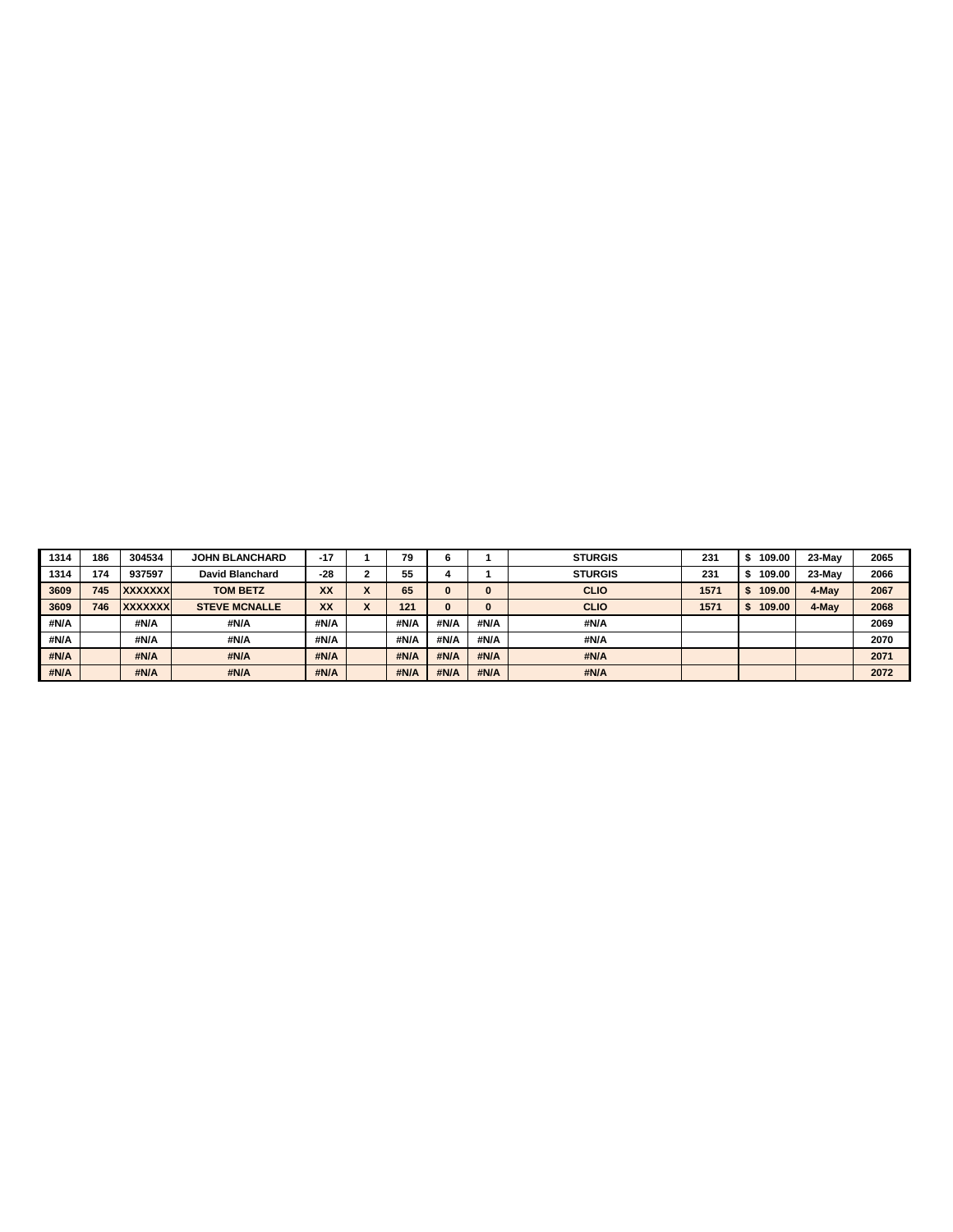| 1314 | 186 | 304534         | <b>JOHN BLANCHARD</b> | $-17$ |                               | 79   |      |          | <b>STURGIS</b> | 231  | 109.00 | 23-May | 2065 |
|------|-----|----------------|-----------------------|-------|-------------------------------|------|------|----------|----------------|------|--------|--------|------|
| 1314 | 174 | 937597         | David Blanchard       | $-28$ |                               | 55   |      |          | <b>STURGIS</b> | 231  | 109.00 | 23-May | 2066 |
| 3609 | 745 | <b>XXXXXXX</b> | <b>TOM BETZ</b>       | XX    | $\overline{\phantom{a}}$<br>́ | 65   |      | $\bf{0}$ | <b>CLIO</b>    | 1571 | 109.00 | 4-May  | 2067 |
| 3609 | 746 | <b>XXXXXXX</b> | <b>STEVE MCNALLE</b>  | XX    | $\mathbf{v}$<br>◠             | 121  |      | $\bf{0}$ | <b>CLIO</b>    | 1571 | 109.00 | 4-May  | 2068 |
|      |     |                |                       |       |                               |      |      |          |                |      |        |        |      |
| #N/A |     | #N/A           | #N/A                  | #N/A  |                               | #N/A | #N/A | #N/A     | #N/A           |      |        |        | 2069 |
| #N/A |     | #N/A           | #N/A                  | #N/A  |                               | #N/A | #N/A | #N/A     | #N/A           |      |        |        | 2070 |
| #N/A |     | #N/A           | #N/A                  | #N/A  |                               | #N/A | #N/A | #N/A     | #N/A           |      |        |        | 2071 |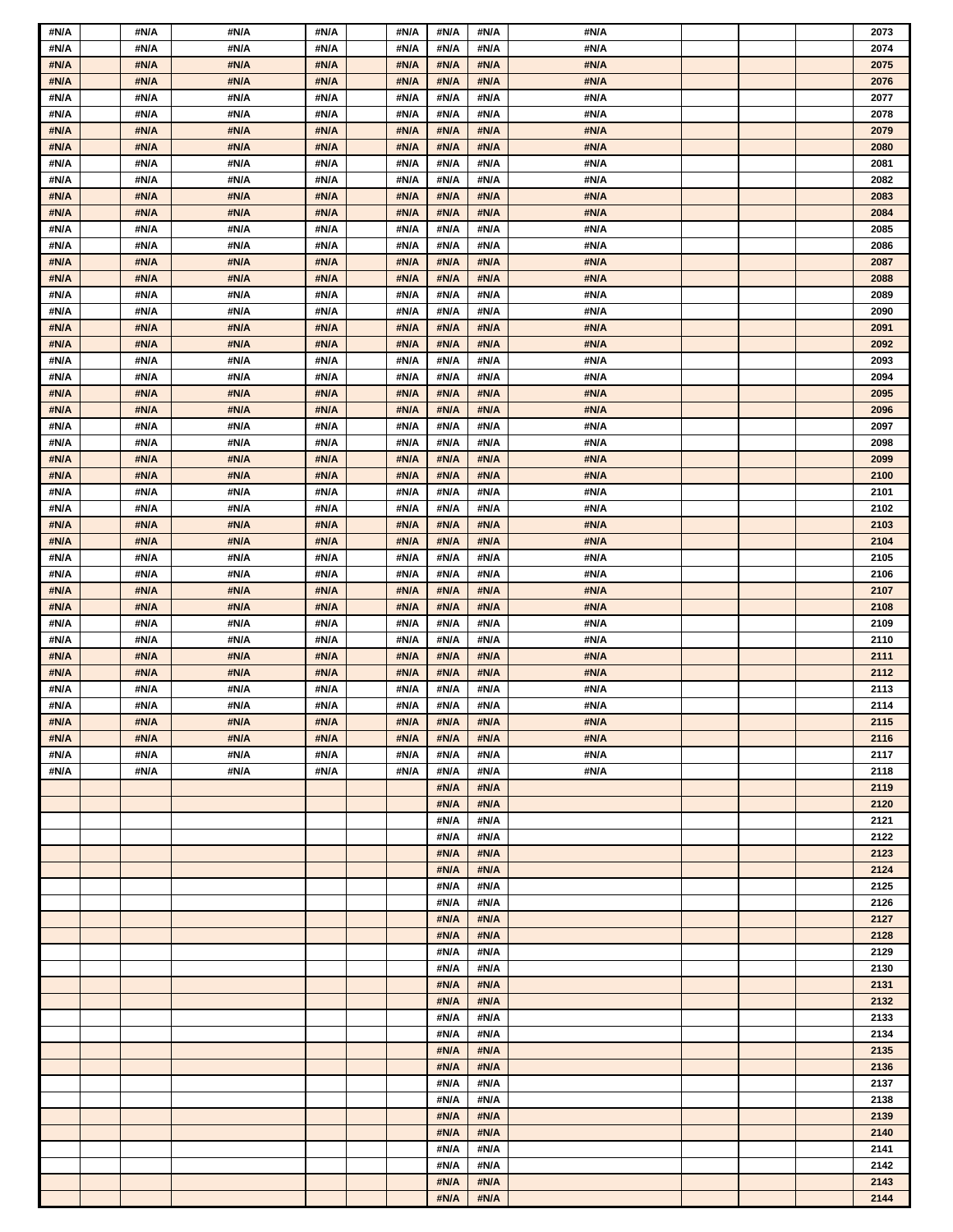| #N/A | #N/A | #N/A | #N/A | #N/A | #N/A | #N/A | #N/A |  | 2073 |
|------|------|------|------|------|------|------|------|--|------|
| #N/A | #N/A | #N/A | #N/A | #N/A | #N/A | #N/A | #N/A |  | 2074 |
| #N/A | #N/A | #N/A | #N/A | #N/A | #N/A | #N/A | #N/A |  | 2075 |
| #N/A | #N/A | #N/A | #N/A | #N/A | #N/A | #N/A | #N/A |  | 2076 |
| #N/A | #N/A | #N/A | #N/A | #N/A | #N/A | #N/A | #N/A |  | 2077 |
| #N/A | #N/A | #N/A | #N/A | #N/A | #N/A | #N/A | #N/A |  | 2078 |
| #N/A | #N/A | #N/A | #N/A | #N/A | #N/A | #N/A | #N/A |  | 2079 |
| #N/A | #N/A | #N/A | #N/A | #N/A | #N/A | #N/A | #N/A |  | 2080 |
| #N/A | #N/A | #N/A | #N/A | #N/A | #N/A | #N/A | #N/A |  | 2081 |
|      | #N/A | #N/A | #N/A | #N/A | #N/A | #N/A | #N/A |  | 2082 |
| #N/A |      |      |      |      |      |      |      |  |      |
| #N/A | #N/A | #N/A | #N/A | #N/A | #N/A | #N/A | #N/A |  | 2083 |
| #N/A | #N/A | #N/A | #N/A | #N/A | #N/A | #N/A | #N/A |  | 2084 |
| #N/A | #N/A | #N/A | #N/A | #N/A | #N/A | #N/A | #N/A |  | 2085 |
| #N/A | #N/A | #N/A | #N/A | #N/A | #N/A | #N/A | #N/A |  | 2086 |
| #N/A | #N/A | #N/A | #N/A | #N/A | #N/A | #N/A | #N/A |  | 2087 |
| #N/A | #N/A | #N/A | #N/A | #N/A | #N/A | #N/A | #N/A |  | 2088 |
| #N/A | #N/A | #N/A | #N/A | #N/A | #N/A | #N/A | #N/A |  | 2089 |
| #N/A | #N/A | #N/A | #N/A | #N/A | #N/A | #N/A | #N/A |  | 2090 |
| #N/A | #N/A | #N/A | #N/A | #N/A | #N/A | #N/A | #N/A |  | 2091 |
| #N/A | #N/A | #N/A | #N/A | #N/A | #N/A | #N/A | #N/A |  | 2092 |
| #N/A | #N/A | #N/A | #N/A | #N/A | #N/A | #N/A | #N/A |  | 2093 |
| #N/A | #N/A | #N/A | #N/A | #N/A | #N/A | #N/A | #N/A |  | 2094 |
| #N/A | #N/A | #N/A | #N/A | #N/A | #N/A | #N/A | #N/A |  | 2095 |
| #N/A | #N/A | #N/A | #N/A | #N/A | #N/A | #N/A | #N/A |  | 2096 |
| #N/A | #N/A | #N/A | #N/A | #N/A | #N/A | #N/A | #N/A |  | 2097 |
| #N/A | #N/A | #N/A | #N/A | #N/A | #N/A | #N/A | #N/A |  | 2098 |
| #N/A | #N/A | #N/A | #N/A | #N/A | #N/A | #N/A | #N/A |  | 2099 |
| #N/A | #N/A | #N/A | #N/A | #N/A | #N/A | #N/A | #N/A |  | 2100 |
| #N/A | #N/A | #N/A | #N/A | #N/A | #N/A | #N/A | #N/A |  | 2101 |
| #N/A | #N/A | #N/A | #N/A | #N/A | #N/A | #N/A | #N/A |  | 2102 |
| #N/A | #N/A | #N/A | #N/A | #N/A | #N/A | #N/A | #N/A |  | 2103 |
| #N/A | #N/A | #N/A | #N/A | #N/A | #N/A | #N/A | #N/A |  | 2104 |
|      |      | #N/A | #N/A |      |      |      | #N/A |  |      |
| #N/A | #N/A |      |      | #N/A | #N/A | #N/A |      |  | 2105 |
| #N/A | #N/A | #N/A | #N/A | #N/A | #N/A | #N/A | #N/A |  | 2106 |
| #N/A | #N/A | #N/A | #N/A | #N/A | #N/A | #N/A | #N/A |  | 2107 |
| #N/A | #N/A | #N/A | #N/A | #N/A | #N/A | #N/A | #N/A |  | 2108 |
| #N/A | #N/A | #N/A | #N/A | #N/A | #N/A | #N/A | #N/A |  | 2109 |
| #N/A | #N/A | #N/A | #N/A | #N/A | #N/A | #N/A | #N/A |  | 2110 |
| #N/A | #N/A | #N/A | #N/A | #N/A | #N/A | #N/A | #N/A |  | 2111 |
| #N/A | #N/A | #N/A | #N/A | #N/A | #N/A | #N/A | #N/A |  | 2112 |
| #N/A | #N/A | #N/A | #N/A | #N/A | #N/A | #N/A | #N/A |  | 2113 |
| #N/A | #N/A | #N/A | #N/A | #N/A | #N/A | #N/A | #N/A |  | 2114 |
| #N/A | #N/A | #N/A | #N/A | #N/A | #N/A | #N/A | #N/A |  | 2115 |
| #N/A | #N/A | #N/A | #N/A | #N/A | #N/A | #N/A | #N/A |  | 2116 |
| #N/A | #N/A | #N/A | #N/A | #N/A | #N/A | #N/A | #N/A |  | 2117 |
| #N/A | #N/A | #N/A | #N/A | #N/A | #N/A | #N/A | #N/A |  | 2118 |
|      |      |      |      |      | #N/A | #N/A |      |  | 2119 |
|      |      |      |      |      | #N/A | #N/A |      |  | 2120 |
|      |      |      |      |      | #N/A | #N/A |      |  | 2121 |
|      |      |      |      |      | #N/A | #N/A |      |  | 2122 |
|      |      |      |      |      | #N/A | #N/A |      |  | 2123 |
|      |      |      |      |      | #N/A | #N/A |      |  | 2124 |
|      |      |      |      |      | #N/A | #N/A |      |  | 2125 |
|      |      |      |      |      | #N/A | #N/A |      |  | 2126 |
|      |      |      |      |      | #N/A | #N/A |      |  | 2127 |
|      |      |      |      |      | #N/A | #N/A |      |  | 2128 |
|      |      |      |      |      | #N/A | #N/A |      |  | 2129 |
|      |      |      |      |      | #N/A | #N/A |      |  | 2130 |
|      |      |      |      |      | #N/A | #N/A |      |  | 2131 |
|      |      |      |      |      | #N/A | #N/A |      |  | 2132 |
|      |      |      |      |      | #N/A | #N/A |      |  | 2133 |
|      |      |      |      |      | #N/A | #N/A |      |  | 2134 |
|      |      |      |      |      | #N/A | #N/A |      |  |      |
|      |      |      |      |      |      |      |      |  | 2135 |
|      |      |      |      |      | #N/A | #N/A |      |  | 2136 |
|      |      |      |      |      | #N/A | #N/A |      |  | 2137 |
|      |      |      |      |      | #N/A | #N/A |      |  | 2138 |
|      |      |      |      |      | #N/A | #N/A |      |  | 2139 |
|      |      |      |      |      | #N/A | #N/A |      |  | 2140 |
|      |      |      |      |      | #N/A | #N/A |      |  | 2141 |
|      |      |      |      |      | #N/A | #N/A |      |  | 2142 |
|      |      |      |      |      | #N/A | #N/A |      |  | 2143 |
|      |      |      |      |      | #N/A | #N/A |      |  | 2144 |